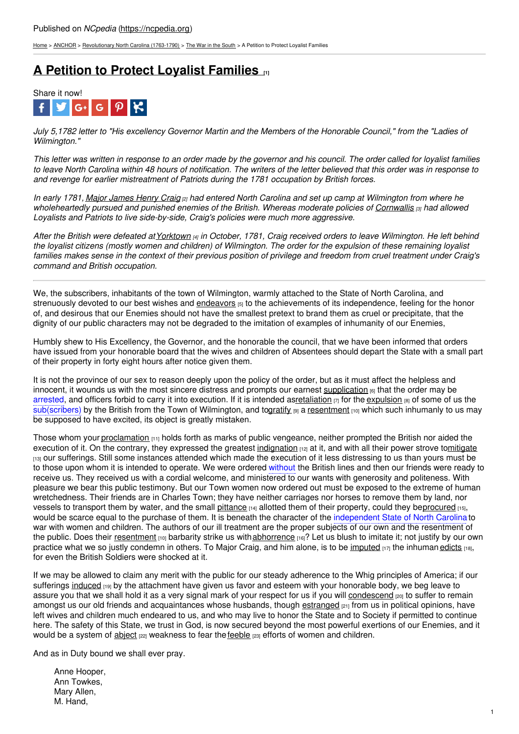[Home](https://ncpedia.org/) > [ANCHOR](https://ncpedia.org/anchor/anchor) > [Revolutionary](https://ncpedia.org/anchor/revolutionary-north-carolina) North Carolina (1763-1790) > The War in the [South](https://ncpedia.org/anchor/war-south) > A Petition to Protect Loyalist Families

# **A Petition to Protect Loyalist [Families](https://ncpedia.org/anchor/petition-protect-loyalist) [1]**



July 5.1782 letter to "His excellency Governor Martin and the Members of the Honorable Council." from the "Ladies of *Wilmington."*

This letter was written in response to an order made by the governor and his council. The order called for loyalist families to leave North Carolina within 48 hours of notification. The writers of the letter believed that this order was in response to *and revenge for earlier mistreatment of Patriots during the 1781 occupation by British forces.*

In early 1781, Major [James](https://allthingsliberty.com/2017/10/james-henry-craig-pocket-hercules/) Henry Craig <sub>[2]</sub> had entered North Carolina and set up camp at Wilmington from where he wholeheartedly pursued and punished enemies of the British. Whereas moderate policies of [Cornwallis](http://www.ouramericanrevolution.org/index.cfm/people/view/pp0024) (3) had allowed *Loyalists and Patriots to live side-by-side, Craig's policies were much more aggressive.*

After the British were defeated at [Yorktown](https://www.britannica.com/event/Siege-of-Yorktown) [4] in [October,](http://www.social9.com) 1781, Craig received orders to leave Wilmington. He left behind the loyalist citizens (mostly women and children) of Wilmington. The order for the expulsion of these remaining loyalist families makes sense in the context of their previous position of privilege and freedom from cruel treatment under Craig's *command and British occupation.*

We, the subscribers, inhabitants of the town of Wilmington, warmly attached to the State of North Carolina, and strenuously devoted to our best wishes and [endeavors](https://ncpedia.org/glossary/endeavors)  $5$  to the achievements of its independence, feeling for the honor of, and desirous that our Enemies should not have the smallest pretext to brand them as cruel or precipitate, that the dignity of our public characters may not be degraded to the imitation of examples of inhumanity of our Enemies,

Humbly shew to His Excellency, the Governor, and the honorable the council, that we have been informed that orders have issued from your honorable board that the wives and children of Absentees should depart the State with a small part of their property in forty eight hours after notice given them.

It is not the province of our sex to reason deeply upon the policy of the order, but as it must affect the helpless and innocent, it wounds us with the most sincere distress and prompts our earnest [supplication](https://ncpedia.org/glossary/supplication) [6] that the order may be arrested, and officers forbid to carry it into execution. If it is intended a[sretaliation](https://ncpedia.org/glossary/retaliation) [7] for the [expulsion](https://ncpedia.org/glossary/expulsion) [8] of some of us the sub(scribers) by the British from the Town of Wilmington, and t[ogratify](https://ncpedia.org/glossary/gratify) [9] a [resentment](https://ncpedia.org/glossary/resentment) [10] which such inhumanly to us may be supposed to have excited, its object is greatly mistaken.

Those whom your [proclamation](https://ncpedia.org/glossary/proclamation)  $(11)$  holds forth as marks of public vengeance, neither prompted the British nor aided the execution of it. On the contrary, they expressed the greatest [indignation](https://ncpedia.org/glossary/indignation)  $p_1$  at it, and with all their power strove t[omitigate](https://ncpedia.org/glossary/mitigate) [13] our sufferings. Still some instances attended which made the execution of it less distressing to us than yours must be to those upon whom it is intended to operate. We were ordered without the British lines and then our friends were ready to receive us. They received us with a cordial welcome, and ministered to our wants with generosity and politeness. With pleasure we bear this public testimony. But our Town women now ordered out must be exposed to the extreme of human wretchedness. Their friends are in Charles Town; they have neither carriages nor horses to remove them by land, nor vessels to transport them by water, and the small [pittance](https://ncpedia.org/glossary/pittance)  $[14]$  allotted them of their property, could they b[eprocured](https://ncpedia.org/glossary/procure)  $[15]$ , would be scarce equal to the purchase of them. It is beneath the character of the independent State of North Carolina to war with women and children. The authors of our ill treatment are the proper subjects of our own and the resentment of the public. Does their [resentment](https://ncpedia.org/glossary/resentment) [10] barbarity strike us with [abhorrence](https://ncpedia.org/glossary/abhorrence) [16]? Let us blush to imitate it; not justify by our own practice what we so justly condemn in others. To Major Craig, and him alone, is to be [imputed](https://ncpedia.org/glossary/impute)  $[17]$  the inhuman [edicts](https://ncpedia.org/glossary/edict)  $[18]$ , for even the British Soldiers were shocked at it.

If we may be allowed to claim any merit with the public for our steady adherence to the Whig principles of America; if our sufferings [induced](https://ncpedia.org/glossary/induce) [19] by the attachment have given us favor and esteem with your honorable body, we beg leave to assure you that we shall hold it as a very signal mark of your respect for us if you will [condescend](https://ncpedia.org/glossary/condescend) [20] to suffer to remain amongst us our old friends and acquaintances whose husbands, though [estranged](https://ncpedia.org/glossary/estrange) [21] from us in political opinions, have left wives and children much endeared to us, and who may live to honor the State and to Society if permitted to continue here. The safety of this State, we trust in God, is now secured beyond the most powerful exertions of our Enemies, and it would be a system of  $\underline{object}$   $[22]$  weakness to fear the [feeble](https://ncpedia.org/glossary/feeble)  $[23]$  efforts of women and children.

And as in Duty bound we shall ever pray.

Anne Hooper, Ann Towkes, Mary Allen, M. Hand,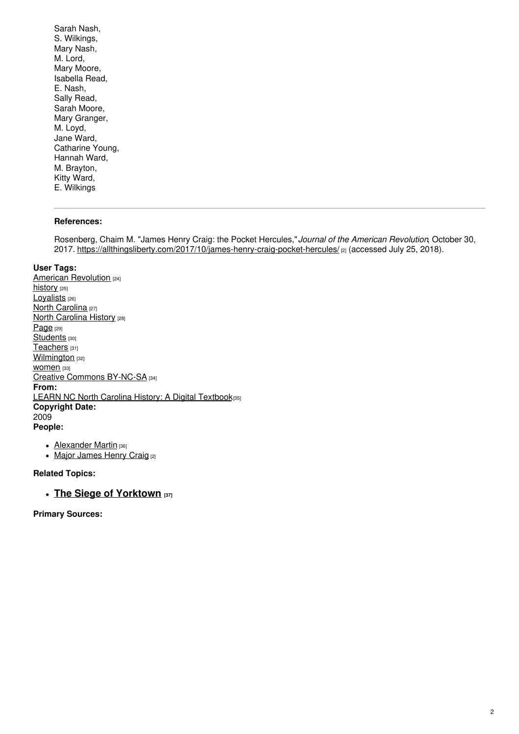Sarah Nash, S. Wilkings, Mary Nash, M. Lord, Mary Moore, Isabella Read, E. Nash, Sally Read, Sarah Moore, Mary Granger, M. Loyd, Jane Ward, Catharine Young, Hannah Ward, M. Brayton, Kitty Ward, E. Wilkings

#### **References:**

Rosenberg, Chaim M. "James Henry Craig: the Pocket Hercules,"*Journal of the American Revolution*, October 30, 2017. <https://allthingsliberty.com/2017/10/james-henry-craig-pocket-hercules/> [2] (accessed July 25, 2018).

#### **User Tags:**

American [Revolution](https://ncpedia.org/category/user-tags/american) [24] [history](https://ncpedia.org/category/user-tags/history) [25] [Loyalists](https://ncpedia.org/category/user-tags/loyalists) [26] North [Carolina](https://ncpedia.org/category/user-tags/north-carolina-5) [27] **North [Carolina](https://ncpedia.org/category/user-tags/north-carolina-6) History [28]** [Page](https://ncpedia.org/category/user-tags/page) [29] [Students](https://ncpedia.org/category/user-tags/students) [30] [Teachers](https://ncpedia.org/category/user-tags/teachers) [31] **[Wilmington](https://ncpedia.org/category/user-tags/wilmington)** [32] WOMEN<sub>[33]</sub> Creative Commons [BY-NC-SA](https://ncpedia.org/category/user-tags/creative-commons) [34] **From:** LEARN NC North Carolina History: A Digital [Textbook](https://ncpedia.org/category/entry-source/learn-nc)[35] **Copyright Date:** 2009 **People:**

- [Alexander](https://ncpedia.org/martin-alexander-research-branch-nc) Martin [36]
- Major [James](https://allthingsliberty.com/2017/10/james-henry-craig-pocket-hercules/) Henry Craig [2]

### **Related Topics:**

## **The Siege of [Yorktown](https://encyclopediavirginia.org/entries/tucker-st-george-1752-1827/) [37]**

**Primary Sources:**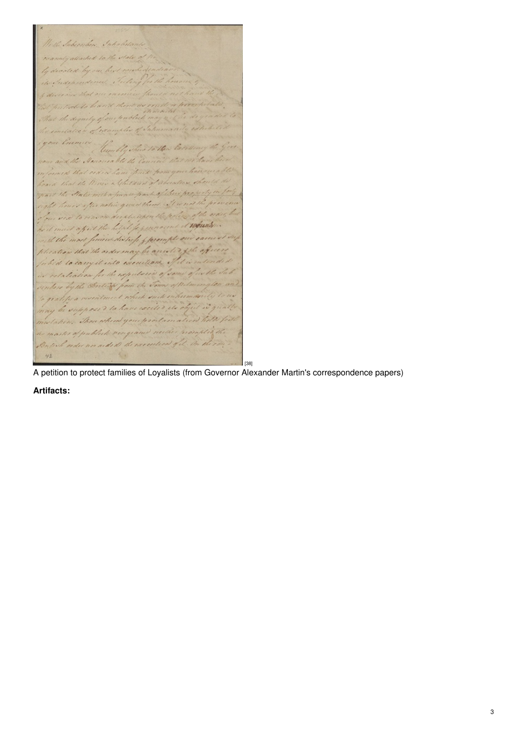With Subceriber, Introdu warmly allached to the state ly devoted by he dequity of our publich dates of examples Um La Va Han Ear being in  $, y$ 1 Summer is a Children of absente to hannes hart allow pro, rolic quan them. It were decatorian the police Anduns must affect the hitals for your acent most finish distrife & prompt our ca. il the at the nder may be anoted the of it into executions. for the expectación the 8British from the it wentimed which de interiored to have excelled, the oby molation. There when your producer alson hold ter of publick vergeamed necker prosente Butil order nor aided the execution of it.  $42$ [38]

A petition to protect families of Loyalists (from Governor Alexander Martin's correspondence papers)

**Artifacts:**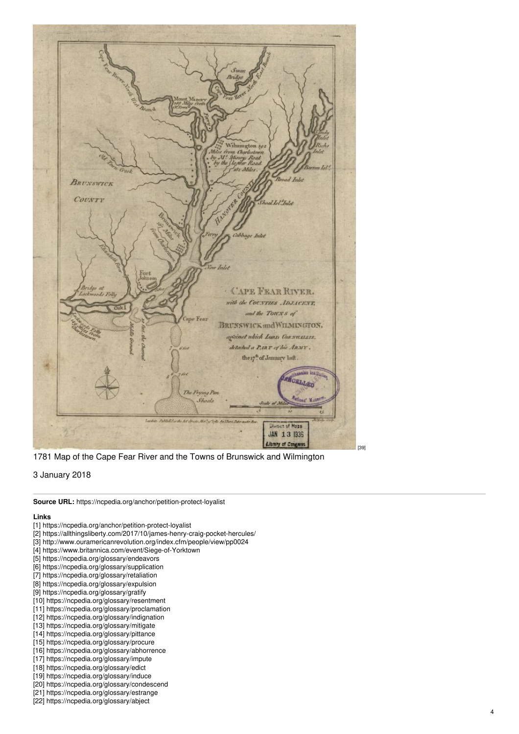

1781 Map of the Cape Fear River and the Towns of Brunswick and Wilmington

3 January 2018

**Source URL:** https://ncpedia.org/anchor/petition-protect-loyalist

#### **Lin k s**

- [1] https://ncpedia.org/anchor/petition-protect-loyalist
- [2] https://allthingsliberty.com/2017/10/james-henry-craig-pocket-hercules/
- [3] http://www.ouramericanrevolution.org/index.cfm/people/view/pp0024
- [4] https://www.britannica.com/event/Siege-of-Yorktown
- [5] https://ncpedia.org/glossary/endeavors
- [6] https://ncpedia.org/glossary/supplication
- [7] https://ncpedia.org/glossary/retaliation
- [8] https://ncpedia.org/glossary/expulsion
- [9] https://ncpedia.org/glossary/gratify
- [10] https://ncpedia.org/glossary/resentment
- [11] https://ncpedia.org/glossary/proclamation
- [12] https://ncpedia.org/glossary/indignation
- [13] https://ncpedia.org/glossary/mitigate
- [14] https://ncpedia.org/glossary/pittance
- [15] https://ncpedia.org/glossary/procure [16] https://ncpedia.org/glossary/abhorrence
- [17] https://ncpedia.org/glossary/impute
- [18] https://ncpedia.org/glossary/edict
- [19] https://ncpedia.org/glossary/induce
- [20] https://ncpedia.org/glossary/condescend
- [21] https://ncpedia.org/glossary/estrange
- [22] https://ncpedia.org/glossary/abject

[ 3 9 ]